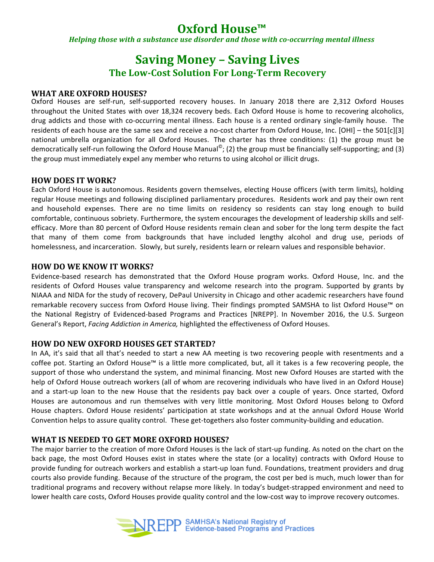# **Oxford House™**

*Helping those with a substance use disorder and those with co-occurring mental illness* 

## **Saving Money - Saving Lives The Low-Cost Solution For Long-Term Recovery**

#### **WHAT ARE OXFORD HOUSES?**

Oxford Houses are self-run, self-supported recovery houses. In January 2018 there are 2,312 Oxford Houses throughout the United States with over 18,324 recovery beds. Each Oxford House is home to recovering alcoholics, drug addicts and those with co-occurring mental illness. Each house is a rented ordinary single-family house. The residents of each house are the same sex and receive a no-cost charter from Oxford House, Inc. [OHI] – the 501[c][3] national umbrella organization for all Oxford Houses. The charter has three conditions: (1) the group must be democratically self-run following the Oxford House Manual<sup>©</sup>; (2) the group must be financially self-supporting; and (3) the group must immediately expel any member who returns to using alcohol or illicit drugs.

#### **HOW DOES IT WORK?**

Each Oxford House is autonomous. Residents govern themselves, electing House officers (with term limits), holding regular House meetings and following disciplined parliamentary procedures. Residents work and pay their own rent and household expenses. There are no time limits on residency so residents can stay long enough to build comfortable, continuous sobriety. Furthermore, the system encourages the development of leadership skills and selfefficacy. More than 80 percent of Oxford House residents remain clean and sober for the long term despite the fact that many of them come from backgrounds that have included lengthy alcohol and drug use, periods of homelessness, and incarceration. Slowly, but surely, residents learn or relearn values and responsible behavior.

#### **HOW DO WE KNOW IT WORKS?**

Evidence-based research has demonstrated that the Oxford House program works. Oxford House, Inc. and the residents of Oxford Houses value transparency and welcome research into the program. Supported by grants by NIAAA and NIDA for the study of recovery, DePaul University in Chicago and other academic researchers have found remarkable recovery success from Oxford House living. Their findings prompted SAMSHA to list Oxford House™ on the National Registry of Evidenced-based Programs and Practices [NREPP]. In November 2016, the U.S. Surgeon General's Report, *Facing Addiction in America*, highlighted the effectiveness of Oxford Houses.

#### **HOW DO NEW OXFORD HOUSES GET STARTED?**

In AA, it's said that all that's needed to start a new AA meeting is two recovering people with resentments and a coffee pot. Starting an Oxford House™ is a little more complicated, but, all it takes is a few recovering people, the support of those who understand the system, and minimal financing. Most new Oxford Houses are started with the help of Oxford House outreach workers (all of whom are recovering individuals who have lived in an Oxford House) and a start-up loan to the new House that the residents pay back over a couple of years. Once started, Oxford Houses are autonomous and run themselves with very little monitoring. Most Oxford Houses belong to Oxford House chapters. Oxford House residents' participation at state workshops and at the annual Oxford House World Convention helps to assure quality control. These get-togethers also foster community-building and education.

#### **WHAT IS NEEDED TO GET MORE OXFORD HOUSES?**

The major barrier to the creation of more Oxford Houses is the lack of start-up funding. As noted on the chart on the back page, the most Oxford Houses exist in states where the state (or a locality) contracts with Oxford House to provide funding for outreach workers and establish a start-up loan fund. Foundations, treatment providers and drug courts also provide funding. Because of the structure of the program, the cost per bed is much, much lower than for traditional programs and recovery without relapse more likely. In today's budget-strapped environment and need to lower health care costs, Oxford Houses provide quality control and the low-cost way to improve recovery outcomes.